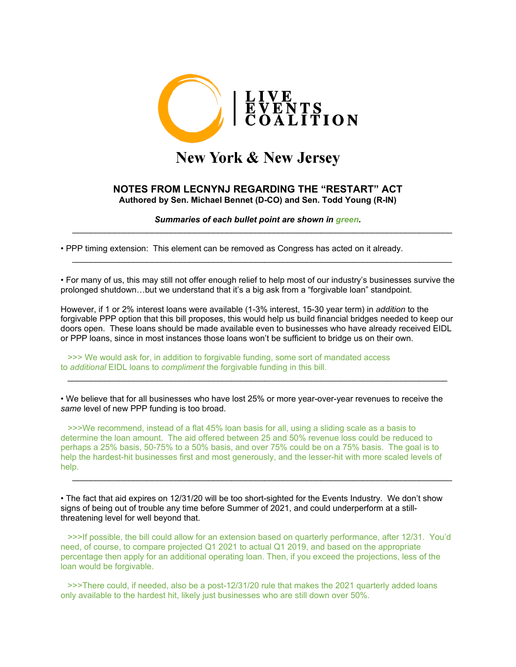

## **New York & New Jersey**

## **NOTES FROM LECNYNJ REGARDING THE "RESTART" ACT Authored by Sen. Michael Bennet (D-CO) and Sen. Todd Young (R-IN)**

*Summaries of each bullet point are shown in green.* \_\_\_\_\_\_\_\_\_\_\_\_\_\_\_\_\_\_\_\_\_\_\_\_\_\_\_\_\_\_\_\_\_\_\_\_\_\_\_\_\_\_\_\_\_\_\_\_\_\_\_\_\_\_\_\_\_\_\_\_\_\_\_\_\_\_\_\_\_\_\_\_\_\_\_\_\_\_\_\_\_

• PPP timing extension: This element can be removed as Congress has acted on it already.

• For many of us, this may still not offer enough relief to help most of our industry's businesses survive the prolonged shutdown…but we understand that it's a big ask from a "forgivable loan" standpoint.

\_\_\_\_\_\_\_\_\_\_\_\_\_\_\_\_\_\_\_\_\_\_\_\_\_\_\_\_\_\_\_\_\_\_\_\_\_\_\_\_\_\_\_\_\_\_\_\_\_\_\_\_\_\_\_\_\_\_\_\_\_\_\_\_\_\_\_\_\_\_\_\_\_\_\_\_\_\_\_\_\_

However, if 1 or 2% interest loans were available (1-3% interest, 15-30 year term) in *addition* to the forgivable PPP option that this bill proposes, this would help us build financial bridges needed to keep our doors open. These loans should be made available even to businesses who have already received EIDL or PPP loans, since in most instances those loans won't be sufficient to bridge us on their own.

 >>> We would ask for, in addition to forgivable funding, some sort of mandated access to *additional* EIDL loans to *compliment* the forgivable funding in this bill.

• We believe that for all businesses who have lost 25% or more year-over-year revenues to receive the *same* level of new PPP funding is too broad.

\_\_\_\_\_\_\_\_\_\_\_\_\_\_\_\_\_\_\_\_\_\_\_\_\_\_\_\_\_\_\_\_\_\_\_\_\_\_\_\_\_\_\_\_\_\_\_\_\_\_\_\_\_\_\_\_\_\_\_\_\_\_\_\_\_\_\_\_\_\_\_\_\_\_\_\_\_\_\_\_\_

 >>>We recommend, instead of a flat 45% loan basis for all, using a sliding scale as a basis to determine the loan amount. The aid offered between 25 and 50% revenue loss could be reduced to perhaps a 25% basis, 50-75% to a 50% basis, and over 75% could be on a 75% basis. The goal is to help the hardest-hit businesses first and most generously, and the lesser-hit with more scaled levels of help.

\_\_\_\_\_\_\_\_\_\_\_\_\_\_\_\_\_\_\_\_\_\_\_\_\_\_\_\_\_\_\_\_\_\_\_\_\_\_\_\_\_\_\_\_\_\_\_\_\_\_\_\_\_\_\_\_\_\_\_\_\_\_\_\_\_\_\_\_\_\_\_\_\_\_\_\_\_\_\_\_\_

• The fact that aid expires on 12/31/20 will be too short-sighted for the Events Industry. We don't show signs of being out of trouble any time before Summer of 2021, and could underperform at a stillthreatening level for well beyond that.

 >>>If possible, the bill could allow for an extension based on quarterly performance, after 12/31. You'd need, of course, to compare projected Q1 2021 to actual Q1 2019, and based on the appropriate percentage then apply for an additional operating loan. Then, if you exceed the projections, less of the loan would be forgivable.

 >>>There could, if needed, also be a post-12/31/20 rule that makes the 2021 quarterly added loans only available to the hardest hit, likely just businesses who are still down over 50%.